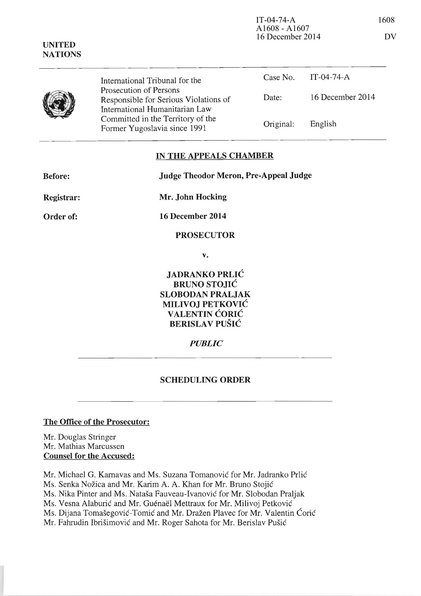| <b>UNITED</b><br><b>NATIONS</b> | $A1608 - A1607$<br>16 December 2014                                                                                                                                    |           |                  | DV |
|---------------------------------|------------------------------------------------------------------------------------------------------------------------------------------------------------------------|-----------|------------------|----|
|                                 | International Tribunal for the                                                                                                                                         | Case No.  | IT-04-74- $A$    |    |
|                                 | Prosecution of Persons<br>Responsible for Serious Violations of<br>International Humanitarian Law<br>Committed in the Territory of the<br>Former Yugoslavia since 1991 | Date:     | 16 December 2014 |    |
|                                 |                                                                                                                                                                        | Original: | English          |    |

## IN THE APPEALS CHAMBER

| <b>Before:</b> | <b>Judge Theodor Meron, Pre-Appeal Judge</b> |  |
|----------------|----------------------------------------------|--|
| Registrar:     | Mr. John Hocking                             |  |
| Order of:      | 16 December 2014                             |  |
|                | <b>PROSECUTOR</b>                            |  |
|                | v.                                           |  |
|                | <b>LADD ANIZO DDI IO</b>                     |  |

JADRANKO PRLIC BRUNO STOJIC SLOBODAN PRALJAK MILIVOJ PETKOVIC VALENTIN CORIC BERISLAV PUŠIĆ

*PUBLIC* 

## SCHEDULING ORDER

## The Office of the Prosecutor:

Mr. Douglas Stringer Mr. Mathias Marcussen Counsel for the Accused:

Mr. Michael G. Karnavas and Ms. Suzana Tomanović for Mr. Jadranko Prlić Ms. Senka Nožica and Mr. Karim A. A. Khan for Mr. Bruno Stojić Ms. Nika Pinter and Ms. Natasa Fauveau-Ivanovie for Mr. Slobodan Praljak Ms. Vesna Alaburić and Mr. Guénaël Mettraux for Mr. Milivoj Petković Ms. Dijana Tomašegović-Tomić and Mr. Dražen Plavec for Mr. Valentin Ćorić Mr. Fahrudin Ibrišimović and Mr. Roger Sahota for Mr. Berislav Pušić

IT-04-74-A 1608